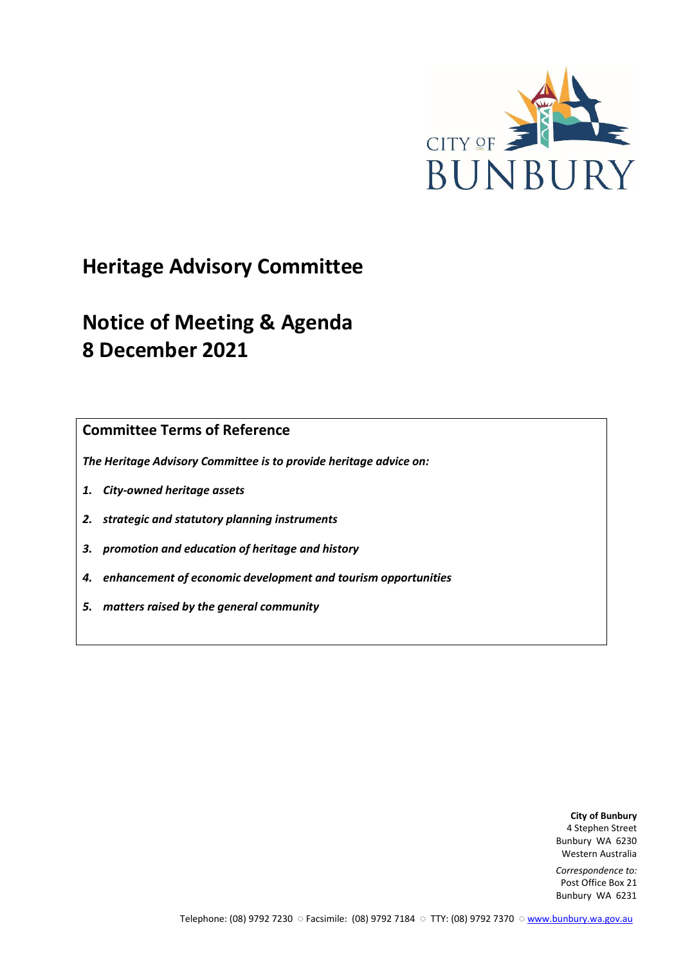

# **Heritage Advisory Committee**

# **Notice of Meeting & Agenda 8 December 2021**

**Committee Terms of Reference**

*The Heritage Advisory Committee is to provide heritage advice on:*

- *1. City-owned heritage assets*
- *2. strategic and statutory planning instruments*
- *3. promotion and education of heritage and history*
- *4. enhancement of economic development and tourism opportunities*
- *5. matters raised by the general community*

**City of Bunbury** 4 Stephen Street Bunbury WA 6230 Western Australia

*Correspondence to:* Post Office Box 21 Bunbury WA 6231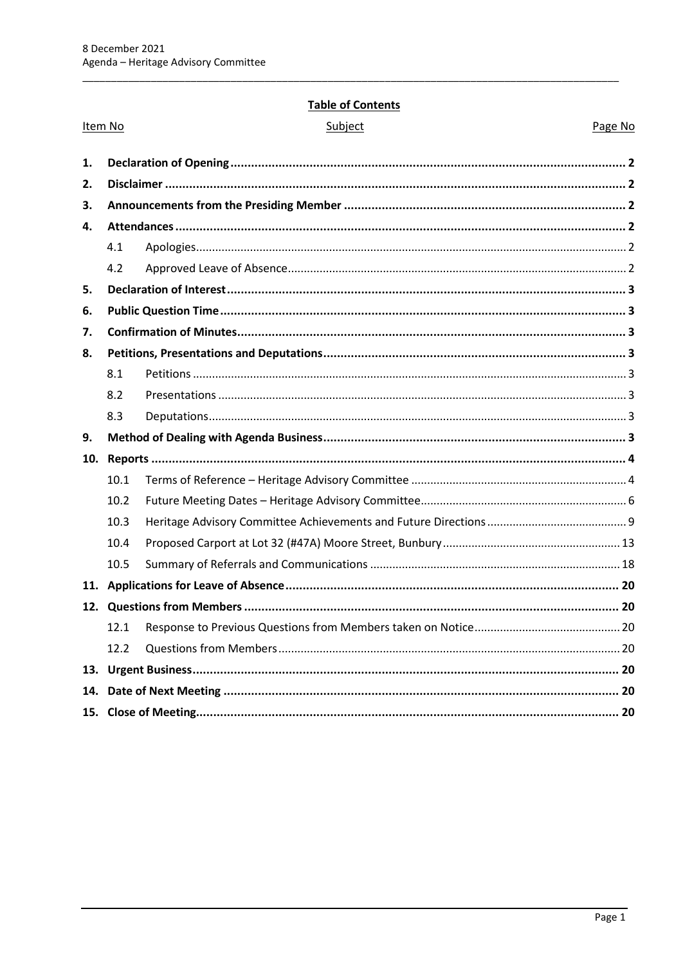# **Table of Contents**

|     | Item No | <b>I dule Of Contents</b><br>Subject | Page No |
|-----|---------|--------------------------------------|---------|
|     |         |                                      |         |
| 1.  |         |                                      |         |
| 2.  |         |                                      |         |
| 3.  |         |                                      |         |
| 4.  |         |                                      |         |
|     | 4.1     |                                      |         |
|     | 4.2     |                                      |         |
| 5.  |         |                                      |         |
| 6.  |         |                                      |         |
| 7.  |         |                                      |         |
| 8.  |         |                                      |         |
|     | 8.1     |                                      |         |
|     | 8.2     |                                      |         |
|     | 8.3     |                                      |         |
| 9.  |         |                                      |         |
| 10. |         |                                      |         |
|     | 10.1    |                                      |         |
|     | 10.2    |                                      |         |
|     | 10.3    |                                      |         |
|     | 10.4    |                                      |         |
|     | 10.5    |                                      |         |
|     |         |                                      |         |
|     |         |                                      |         |
|     | 12.1    |                                      |         |
|     | 12.2    |                                      |         |
|     |         |                                      |         |
| 14. |         |                                      |         |
|     |         |                                      |         |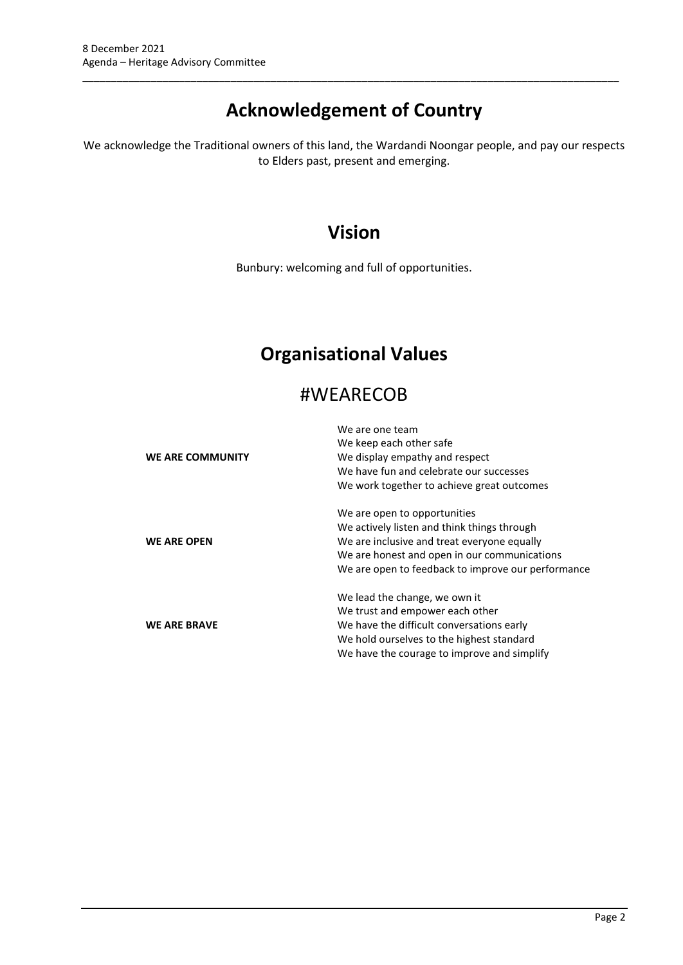# **Acknowledgement of Country**

\_\_\_\_\_\_\_\_\_\_\_\_\_\_\_\_\_\_\_\_\_\_\_\_\_\_\_\_\_\_\_\_\_\_\_\_\_\_\_\_\_\_\_\_\_\_\_\_\_\_\_\_\_\_\_\_\_\_\_\_\_\_\_\_\_\_\_\_\_\_\_\_\_\_\_\_\_\_\_\_\_\_\_\_\_\_\_\_\_\_\_\_\_\_

We acknowledge the Traditional owners of this land, the Wardandi Noongar people, and pay our respects to Elders past, present and emerging.

# **Vision**

Bunbury: welcoming and full of opportunities.

# **Organisational Values**

# #WEARECOB

|                         | We are one team                                    |
|-------------------------|----------------------------------------------------|
|                         | We keep each other safe                            |
| <b>WE ARE COMMUNITY</b> | We display empathy and respect                     |
|                         | We have fun and celebrate our successes            |
|                         | We work together to achieve great outcomes         |
|                         | We are open to opportunities                       |
|                         | We actively listen and think things through        |
| <b>WE ARE OPEN</b>      | We are inclusive and treat everyone equally        |
|                         | We are honest and open in our communications       |
|                         | We are open to feedback to improve our performance |
|                         | We lead the change, we own it                      |
|                         | We trust and empower each other                    |
| <b>WE ARE BRAVE</b>     | We have the difficult conversations early          |
|                         | We hold ourselves to the highest standard          |
|                         | We have the courage to improve and simplify        |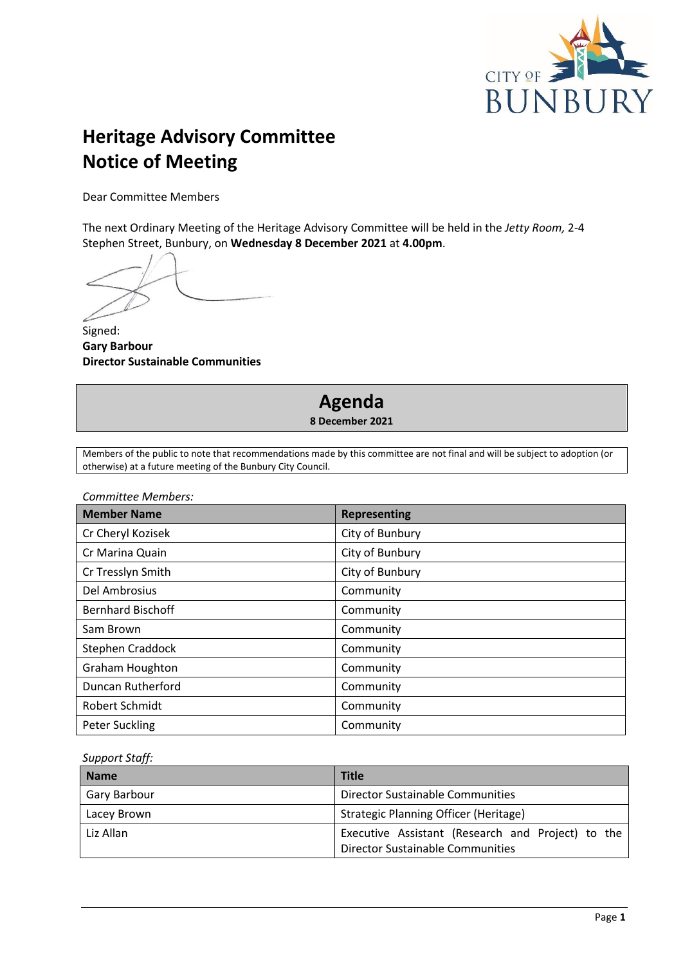

# **Heritage Advisory Committee Notice of Meeting**

Dear Committee Members

The next Ordinary Meeting of the Heritage Advisory Committee will be held in the *Jetty Room,* 2-4 Stephen Street, Bunbury, on **Wednesday 8 December 2021** at **4.00pm**.

Signed: **Gary Barbour Director Sustainable Communities**



**8 December 2021**

Members of the public to note that recommendations made by this committee are not final and will be subject to adoption (or otherwise) at a future meeting of the Bunbury City Council.

*Committee Members:*

| <b>Member Name</b>       | <b>Representing</b> |
|--------------------------|---------------------|
| Cr Cheryl Kozisek        | City of Bunbury     |
| Cr Marina Quain          | City of Bunbury     |
| Cr Tresslyn Smith        | City of Bunbury     |
| Del Ambrosius            | Community           |
| <b>Bernhard Bischoff</b> | Community           |
| Sam Brown                | Community           |
| Stephen Craddock         | Community           |
| <b>Graham Houghton</b>   | Community           |
| Duncan Rutherford        | Community           |
| Robert Schmidt           | Community           |
| <b>Peter Suckling</b>    | Community           |

*Support Staff:*

<span id="page-3-0"></span>

| <b>Name</b>  | <b>Title</b>                                                                          |  |  |  |
|--------------|---------------------------------------------------------------------------------------|--|--|--|
| Gary Barbour | Director Sustainable Communities                                                      |  |  |  |
| Lacey Brown  | Strategic Planning Officer (Heritage)                                                 |  |  |  |
| Liz Allan    | Executive Assistant (Research and Project) to the<br>Director Sustainable Communities |  |  |  |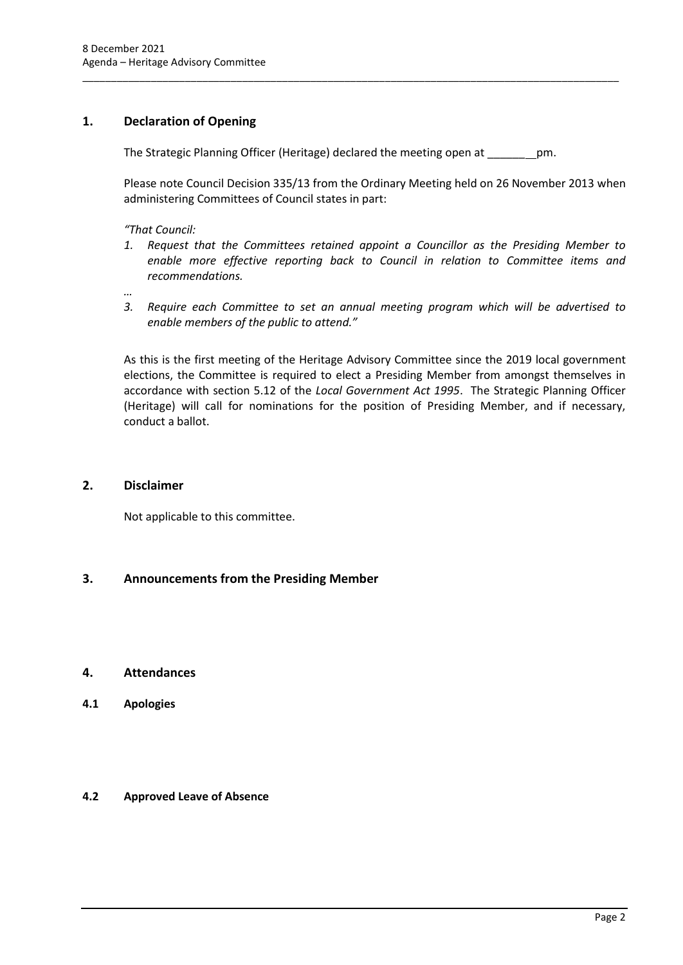# **1. Declaration of Opening**

The Strategic Planning Officer (Heritage) declared the meeting open at \_\_\_\_\_\_ pm.

\_\_\_\_\_\_\_\_\_\_\_\_\_\_\_\_\_\_\_\_\_\_\_\_\_\_\_\_\_\_\_\_\_\_\_\_\_\_\_\_\_\_\_\_\_\_\_\_\_\_\_\_\_\_\_\_\_\_\_\_\_\_\_\_\_\_\_\_\_\_\_\_\_\_\_\_\_\_\_\_\_\_\_\_\_\_\_\_\_\_\_\_\_\_

Please note Council Decision 335/13 from the Ordinary Meeting held on 26 November 2013 when administering Committees of Council states in part:

*"That Council:* 

- *1. Request that the Committees retained appoint a Councillor as the Presiding Member to enable more effective reporting back to Council in relation to Committee items and recommendations.*
- *…*
- *3. Require each Committee to set an annual meeting program which will be advertised to enable members of the public to attend."*

As this is the first meeting of the Heritage Advisory Committee since the 2019 local government elections, the Committee is required to elect a Presiding Member from amongst themselves in accordance with section 5.12 of the *Local Government Act 1995*. The Strategic Planning Officer (Heritage) will call for nominations for the position of Presiding Member, and if necessary, conduct a ballot.

# <span id="page-4-0"></span>**2. Disclaimer**

Not applicable to this committee.

# <span id="page-4-1"></span>**3. Announcements from the Presiding Member**

# <span id="page-4-2"></span>**4. Attendances**

<span id="page-4-3"></span>**4.1 Apologies**

# <span id="page-4-4"></span>**4.2 Approved Leave of Absence**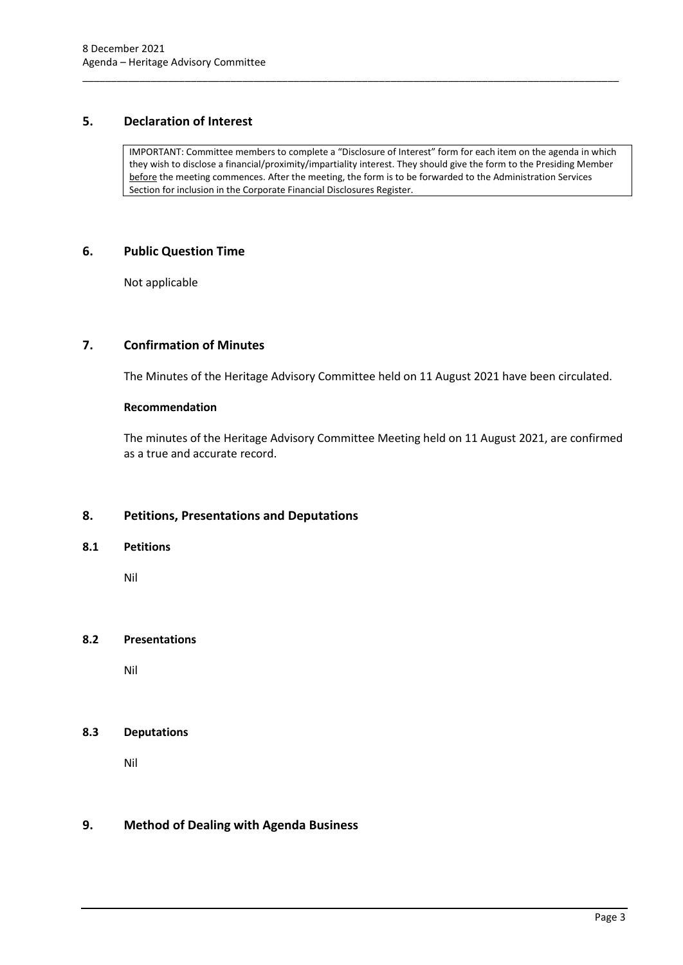# <span id="page-5-0"></span>**5. Declaration of Interest**

IMPORTANT: Committee members to complete a "Disclosure of Interest" form for each item on the agenda in which they wish to disclose a financial/proximity/impartiality interest. They should give the form to the Presiding Member before the meeting commences. After the meeting, the form is to be forwarded to the Administration Services Section for inclusion in the Corporate Financial Disclosures Register.

\_\_\_\_\_\_\_\_\_\_\_\_\_\_\_\_\_\_\_\_\_\_\_\_\_\_\_\_\_\_\_\_\_\_\_\_\_\_\_\_\_\_\_\_\_\_\_\_\_\_\_\_\_\_\_\_\_\_\_\_\_\_\_\_\_\_\_\_\_\_\_\_\_\_\_\_\_\_\_\_\_\_\_\_\_\_\_\_\_\_\_\_\_\_

## <span id="page-5-1"></span>**6. Public Question Time**

Not applicable

# <span id="page-5-2"></span>**7. Confirmation of Minutes**

The Minutes of the Heritage Advisory Committee held on 11 August 2021 have been circulated.

## **Recommendation**

The minutes of the Heritage Advisory Committee Meeting held on 11 August 2021, are confirmed as a true and accurate record.

# <span id="page-5-3"></span>**8. Petitions, Presentations and Deputations**

## <span id="page-5-4"></span>**8.1 Petitions**

Nil

## <span id="page-5-5"></span>**8.2 Presentations**

Nil

# <span id="page-5-6"></span>**8.3 Deputations**

Nil

# <span id="page-5-7"></span>**9. Method of Dealing with Agenda Business**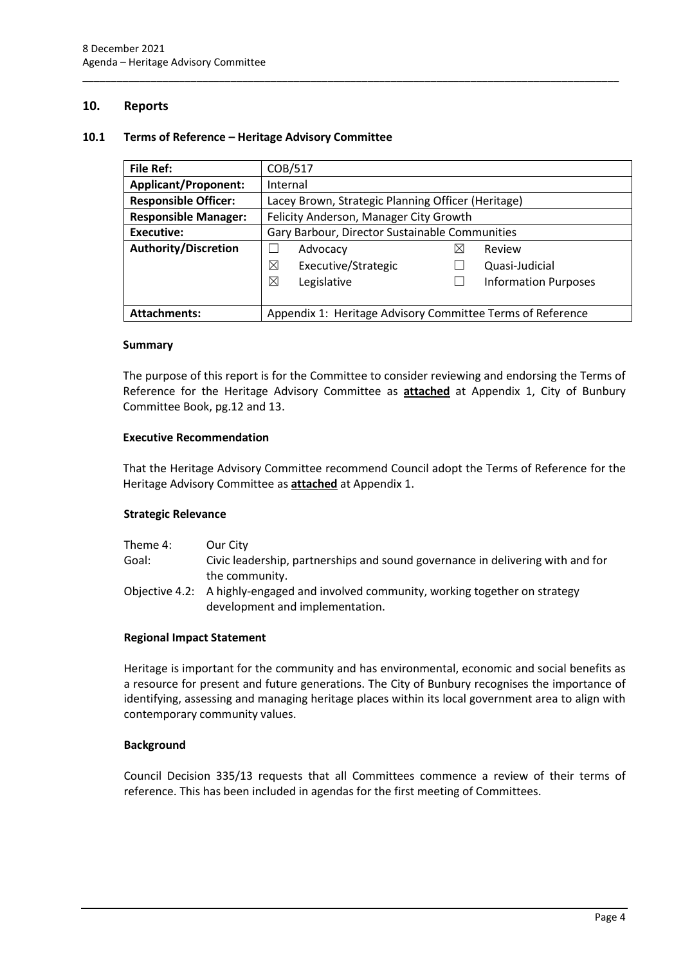## <span id="page-6-0"></span>**10. Reports**

## <span id="page-6-1"></span>**10.1 Terms of Reference – Heritage Advisory Committee**

| <b>File Ref:</b>            | COB/517                                                    |  |                             |
|-----------------------------|------------------------------------------------------------|--|-----------------------------|
| <b>Applicant/Proponent:</b> | Internal                                                   |  |                             |
| <b>Responsible Officer:</b> | Lacey Brown, Strategic Planning Officer (Heritage)         |  |                             |
| <b>Responsible Manager:</b> | Felicity Anderson, Manager City Growth                     |  |                             |
| Executive:                  | Gary Barbour, Director Sustainable Communities             |  |                             |
| <b>Authority/Discretion</b> | Advocacy<br>⋈                                              |  | Review                      |
|                             | ⊠<br>Executive/Strategic                                   |  | Quasi-Judicial              |
|                             | ⊠<br>Legislative                                           |  | <b>Information Purposes</b> |
|                             |                                                            |  |                             |
| <b>Attachments:</b>         | Appendix 1: Heritage Advisory Committee Terms of Reference |  |                             |

\_\_\_\_\_\_\_\_\_\_\_\_\_\_\_\_\_\_\_\_\_\_\_\_\_\_\_\_\_\_\_\_\_\_\_\_\_\_\_\_\_\_\_\_\_\_\_\_\_\_\_\_\_\_\_\_\_\_\_\_\_\_\_\_\_\_\_\_\_\_\_\_\_\_\_\_\_\_\_\_\_\_\_\_\_\_\_\_\_\_\_\_\_\_

## **Summary**

The purpose of this report is for the Committee to consider reviewing and endorsing the Terms of Reference for the Heritage Advisory Committee as **attached** at Appendix 1, City of Bunbury Committee Book, pg.12 and 13.

#### **Executive Recommendation**

That the Heritage Advisory Committee recommend Council adopt the Terms of Reference for the Heritage Advisory Committee as **attached** at Appendix 1.

## **Strategic Relevance**

| Theme 4: | Our City                                                                             |
|----------|--------------------------------------------------------------------------------------|
| Goal:    | Civic leadership, partnerships and sound governance in delivering with and for       |
|          | the community.                                                                       |
|          | Objective 4.2: A highly-engaged and involved community, working together on strategy |
|          | development and implementation.                                                      |

#### **Regional Impact Statement**

Heritage is important for the community and has environmental, economic and social benefits as a resource for present and future generations. The City of Bunbury recognises the importance of identifying, assessing and managing heritage places within its local government area to align with contemporary community values.

## **Background**

Council Decision 335/13 requests that all Committees commence a review of their terms of reference. This has been included in agendas for the first meeting of Committees.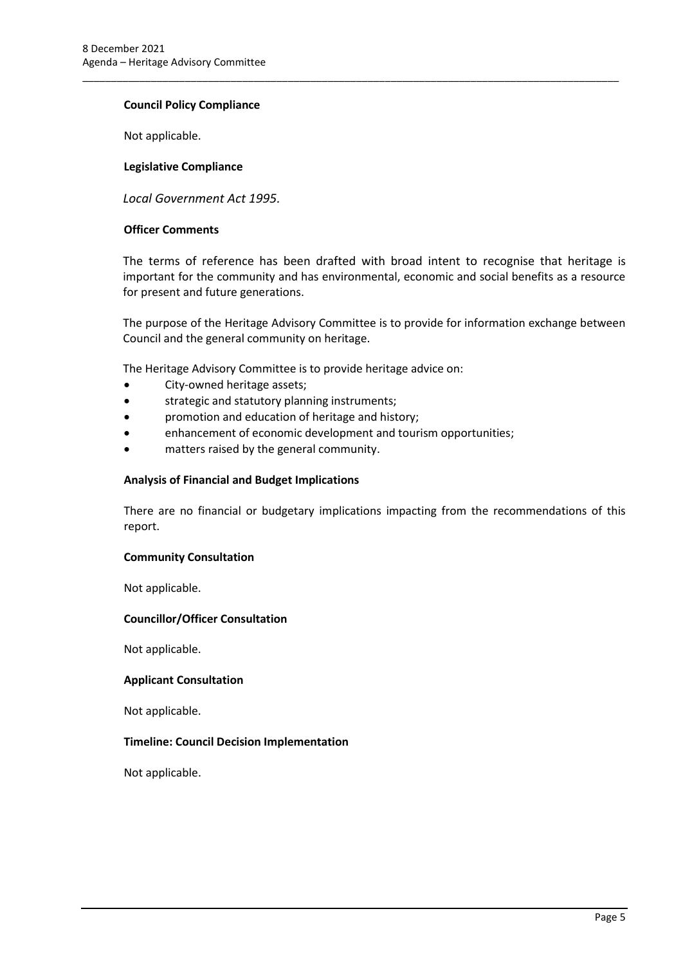## **Council Policy Compliance**

Not applicable.

## **Legislative Compliance**

*Local Government Act 1995.*

## **Officer Comments**

The terms of reference has been drafted with broad intent to recognise that heritage is important for the community and has environmental, economic and social benefits as a resource for present and future generations.

\_\_\_\_\_\_\_\_\_\_\_\_\_\_\_\_\_\_\_\_\_\_\_\_\_\_\_\_\_\_\_\_\_\_\_\_\_\_\_\_\_\_\_\_\_\_\_\_\_\_\_\_\_\_\_\_\_\_\_\_\_\_\_\_\_\_\_\_\_\_\_\_\_\_\_\_\_\_\_\_\_\_\_\_\_\_\_\_\_\_\_\_\_\_

The purpose of the Heritage Advisory Committee is to provide for information exchange between Council and the general community on heritage.

The Heritage Advisory Committee is to provide heritage advice on:

- City-owned heritage assets;
- strategic and statutory planning instruments;
- promotion and education of heritage and history;
- enhancement of economic development and tourism opportunities;
- matters raised by the general community.

#### **Analysis of Financial and Budget Implications**

There are no financial or budgetary implications impacting from the recommendations of this report.

## **Community Consultation**

Not applicable.

## **Councillor/Officer Consultation**

Not applicable.

## **Applicant Consultation**

Not applicable.

## **Timeline: Council Decision Implementation**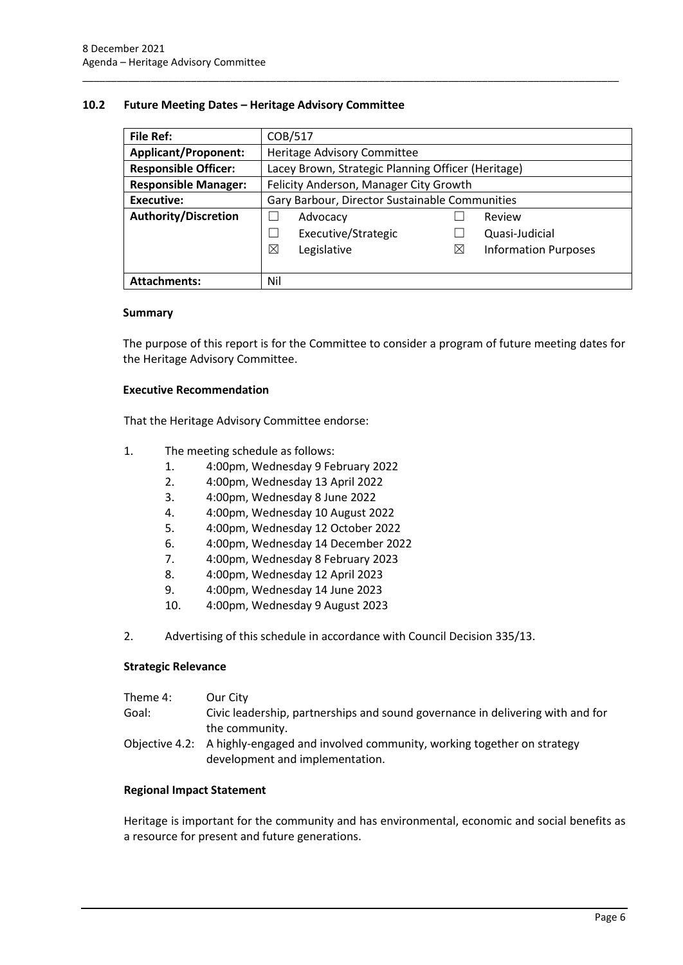#### <span id="page-8-0"></span>**10.2 Future Meeting Dates – Heritage Advisory Committee**

| File Ref:                   | COB/517                                            |             |                             |  |
|-----------------------------|----------------------------------------------------|-------------|-----------------------------|--|
| <b>Applicant/Proponent:</b> | Heritage Advisory Committee                        |             |                             |  |
| <b>Responsible Officer:</b> | Lacey Brown, Strategic Planning Officer (Heritage) |             |                             |  |
| <b>Responsible Manager:</b> | Felicity Anderson, Manager City Growth             |             |                             |  |
| <b>Executive:</b>           | Gary Barbour, Director Sustainable Communities     |             |                             |  |
| <b>Authority/Discretion</b> | Advocacy                                           |             | Review                      |  |
|                             | Executive/Strategic                                |             | Quasi-Judicial              |  |
|                             | ⊠<br>Legislative                                   | $\boxtimes$ | <b>Information Purposes</b> |  |
|                             |                                                    |             |                             |  |
| <b>Attachments:</b>         | Nil                                                |             |                             |  |

\_\_\_\_\_\_\_\_\_\_\_\_\_\_\_\_\_\_\_\_\_\_\_\_\_\_\_\_\_\_\_\_\_\_\_\_\_\_\_\_\_\_\_\_\_\_\_\_\_\_\_\_\_\_\_\_\_\_\_\_\_\_\_\_\_\_\_\_\_\_\_\_\_\_\_\_\_\_\_\_\_\_\_\_\_\_\_\_\_\_\_\_\_\_

#### **Summary**

The purpose of this report is for the Committee to consider a program of future meeting dates for the Heritage Advisory Committee.

#### **Executive Recommendation**

That the Heritage Advisory Committee endorse:

- 1. The meeting schedule as follows:
	- 1. 4:00pm, Wednesday 9 February 2022
	- 2. 4:00pm, Wednesday 13 April 2022
	- 3. 4:00pm, Wednesday 8 June 2022
	- 4. 4:00pm, Wednesday 10 August 2022
	- 5. 4:00pm, Wednesday 12 October 2022
	- 6. 4:00pm, Wednesday 14 December 2022
	- 7. 4:00pm, Wednesday 8 February 2023
	- 8. 4:00pm, Wednesday 12 April 2023
	- 9. 4:00pm, Wednesday 14 June 2023
	- 10. 4:00pm, Wednesday 9 August 2023
- 2. Advertising of this schedule in accordance with Council Decision 335/13.

## **Strategic Relevance**

| Theme 4: | Our City                                                                                                                |
|----------|-------------------------------------------------------------------------------------------------------------------------|
| Goal:    | Civic leadership, partnerships and sound governance in delivering with and for                                          |
|          | the community.                                                                                                          |
|          | Objective 4.2: A highly-engaged and involved community, working together on strategy<br>development and implementation. |

#### **Regional Impact Statement**

Heritage is important for the community and has environmental, economic and social benefits as a resource for present and future generations.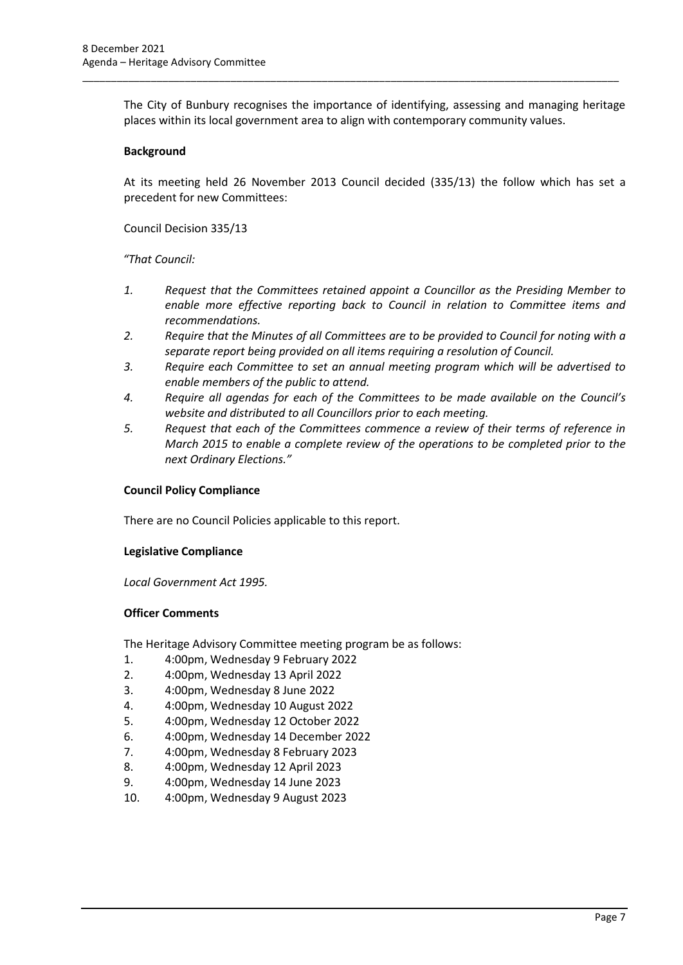The City of Bunbury recognises the importance of identifying, assessing and managing heritage places within its local government area to align with contemporary community values.

\_\_\_\_\_\_\_\_\_\_\_\_\_\_\_\_\_\_\_\_\_\_\_\_\_\_\_\_\_\_\_\_\_\_\_\_\_\_\_\_\_\_\_\_\_\_\_\_\_\_\_\_\_\_\_\_\_\_\_\_\_\_\_\_\_\_\_\_\_\_\_\_\_\_\_\_\_\_\_\_\_\_\_\_\_\_\_\_\_\_\_\_\_\_

## **Background**

At its meeting held 26 November 2013 Council decided (335/13) the follow which has set a precedent for new Committees:

Council Decision 335/13

*"That Council:*

- *1. Request that the Committees retained appoint a Councillor as the Presiding Member to enable more effective reporting back to Council in relation to Committee items and recommendations.*
- *2. Require that the Minutes of all Committees are to be provided to Council for noting with a separate report being provided on all items requiring a resolution of Council.*
- *3. Require each Committee to set an annual meeting program which will be advertised to enable members of the public to attend.*
- *4. Require all agendas for each of the Committees to be made available on the Council's website and distributed to all Councillors prior to each meeting.*
- *5. Request that each of the Committees commence a review of their terms of reference in March 2015 to enable a complete review of the operations to be completed prior to the next Ordinary Elections."*

## **Council Policy Compliance**

There are no Council Policies applicable to this report.

## **Legislative Compliance**

*Local Government Act 1995.* 

## **Officer Comments**

The Heritage Advisory Committee meeting program be as follows:

- 1. 4:00pm, Wednesday 9 February 2022
- 2. 4:00pm, Wednesday 13 April 2022
- 3. 4:00pm, Wednesday 8 June 2022
- 4. 4:00pm, Wednesday 10 August 2022
- 5. 4:00pm, Wednesday 12 October 2022
- 6. 4:00pm, Wednesday 14 December 2022
- 7. 4:00pm, Wednesday 8 February 2023
- 8. 4:00pm, Wednesday 12 April 2023
- 9. 4:00pm, Wednesday 14 June 2023
- 10. 4:00pm, Wednesday 9 August 2023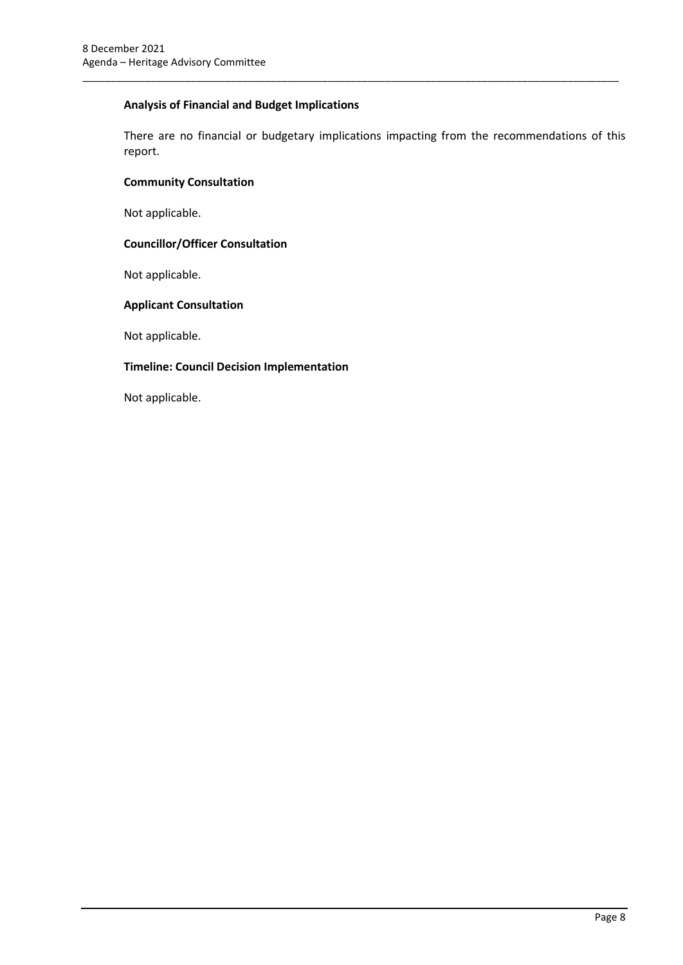# **Analysis of Financial and Budget Implications**

There are no financial or budgetary implications impacting from the recommendations of this report.

\_\_\_\_\_\_\_\_\_\_\_\_\_\_\_\_\_\_\_\_\_\_\_\_\_\_\_\_\_\_\_\_\_\_\_\_\_\_\_\_\_\_\_\_\_\_\_\_\_\_\_\_\_\_\_\_\_\_\_\_\_\_\_\_\_\_\_\_\_\_\_\_\_\_\_\_\_\_\_\_\_\_\_\_\_\_\_\_\_\_\_\_\_\_

## **Community Consultation**

Not applicable.

## **Councillor/Officer Consultation**

Not applicable.

## **Applicant Consultation**

Not applicable.

## **Timeline: Council Decision Implementation**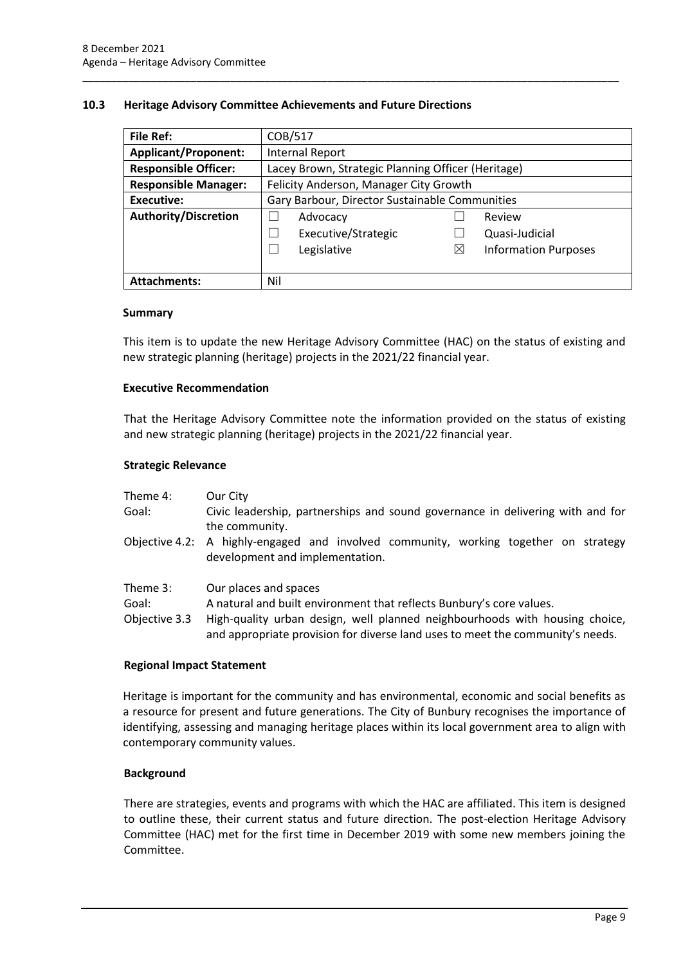## <span id="page-11-0"></span>**10.3 Heritage Advisory Committee Achievements and Future Directions**

| <b>File Ref:</b>            | COB/517                                            |          |                             |  |
|-----------------------------|----------------------------------------------------|----------|-----------------------------|--|
| <b>Applicant/Proponent:</b> | <b>Internal Report</b>                             |          |                             |  |
| <b>Responsible Officer:</b> | Lacey Brown, Strategic Planning Officer (Heritage) |          |                             |  |
| <b>Responsible Manager:</b> | Felicity Anderson, Manager City Growth             |          |                             |  |
| <b>Executive:</b>           | Gary Barbour, Director Sustainable Communities     |          |                             |  |
| <b>Authority/Discretion</b> | Advocacy                                           |          | Review                      |  |
|                             | Executive/Strategic                                |          | Quasi-Judicial              |  |
|                             | Legislative                                        | $\times$ | <b>Information Purposes</b> |  |
|                             |                                                    |          |                             |  |
| <b>Attachments:</b>         | Nil                                                |          |                             |  |

\_\_\_\_\_\_\_\_\_\_\_\_\_\_\_\_\_\_\_\_\_\_\_\_\_\_\_\_\_\_\_\_\_\_\_\_\_\_\_\_\_\_\_\_\_\_\_\_\_\_\_\_\_\_\_\_\_\_\_\_\_\_\_\_\_\_\_\_\_\_\_\_\_\_\_\_\_\_\_\_\_\_\_\_\_\_\_\_\_\_\_\_\_\_

## **Summary**

This item is to update the new Heritage Advisory Committee (HAC) on the status of existing and new strategic planning (heritage) projects in the 2021/22 financial year.

## **Executive Recommendation**

That the Heritage Advisory Committee note the information provided on the status of existing and new strategic planning (heritage) projects in the 2021/22 financial year.

## **Strategic Relevance**

| Theme 4:                           | Our City                                                                                                                                                                                                                                                       |
|------------------------------------|----------------------------------------------------------------------------------------------------------------------------------------------------------------------------------------------------------------------------------------------------------------|
| Goal:                              | Civic leadership, partnerships and sound governance in delivering with and for<br>the community.                                                                                                                                                               |
|                                    | Objective 4.2: A highly-engaged and involved community, working together on strategy<br>development and implementation.                                                                                                                                        |
| Theme 3:<br>Goal:<br>Objective 3.3 | Our places and spaces<br>A natural and built environment that reflects Bunbury's core values.<br>High-quality urban design, well planned neighbourhoods with housing choice,<br>and appropriate provision for diverse land uses to meet the community's needs. |

## **Regional Impact Statement**

Heritage is important for the community and has environmental, economic and social benefits as a resource for present and future generations. The City of Bunbury recognises the importance of identifying, assessing and managing heritage places within its local government area to align with contemporary community values.

## **Background**

There are strategies, events and programs with which the HAC are affiliated. This item is designed to outline these, their current status and future direction. The post-election Heritage Advisory Committee (HAC) met for the first time in December 2019 with some new members joining the Committee.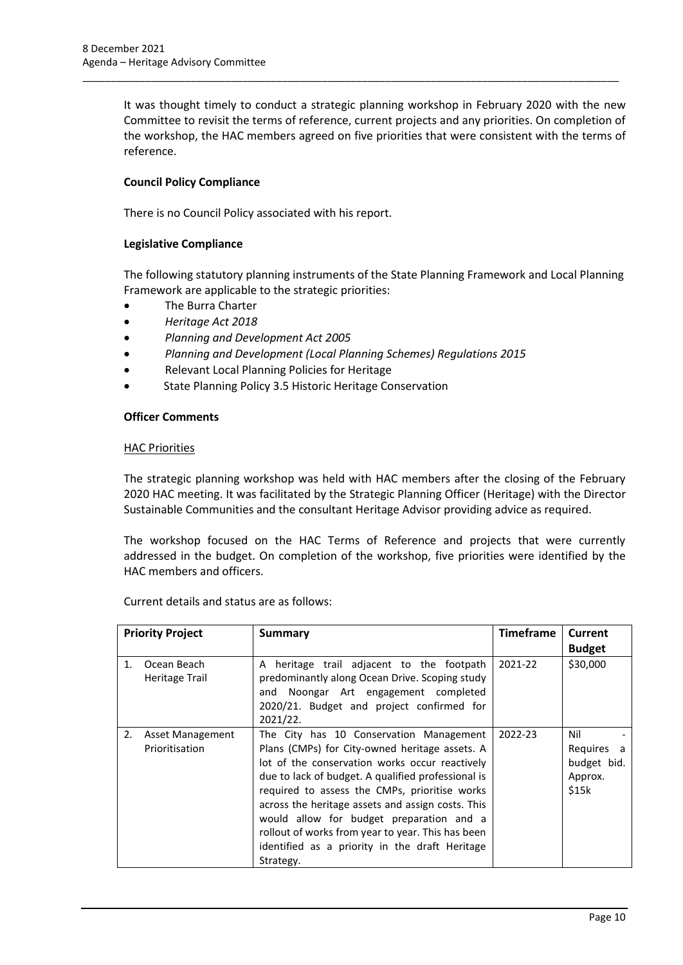It was thought timely to conduct a strategic planning workshop in February 2020 with the new Committee to revisit the terms of reference, current projects and any priorities. On completion of the workshop, the HAC members agreed on five priorities that were consistent with the terms of reference.

\_\_\_\_\_\_\_\_\_\_\_\_\_\_\_\_\_\_\_\_\_\_\_\_\_\_\_\_\_\_\_\_\_\_\_\_\_\_\_\_\_\_\_\_\_\_\_\_\_\_\_\_\_\_\_\_\_\_\_\_\_\_\_\_\_\_\_\_\_\_\_\_\_\_\_\_\_\_\_\_\_\_\_\_\_\_\_\_\_\_\_\_\_\_

## **Council Policy Compliance**

There is no Council Policy associated with his report.

## **Legislative Compliance**

The following statutory planning instruments of the State Planning Framework and Local Planning Framework are applicable to the strategic priorities:

- The Burra Charter
- *Heritage Act 2018*
- *Planning and Development Act 2005*
- *Planning and Development (Local Planning Schemes) Regulations 2015*
- Relevant Local Planning Policies for Heritage
- State Planning Policy 3.5 Historic Heritage Conservation

#### **Officer Comments**

#### HAC Priorities

The strategic planning workshop was held with HAC members after the closing of the February 2020 HAC meeting. It was facilitated by the Strategic Planning Officer (Heritage) with the Director Sustainable Communities and the consultant Heritage Advisor providing advice as required.

The workshop focused on the HAC Terms of Reference and projects that were currently addressed in the budget. On completion of the workshop, five priorities were identified by the HAC members and officers.

Current details and status are as follows:

| <b>Priority Project</b> |                                           | Summary                                                                                                                                                                                                                                                                                                                                                                                                                                                                 | <b>Timeframe</b> | <b>Current</b><br><b>Budget</b>                         |
|-------------------------|-------------------------------------------|-------------------------------------------------------------------------------------------------------------------------------------------------------------------------------------------------------------------------------------------------------------------------------------------------------------------------------------------------------------------------------------------------------------------------------------------------------------------------|------------------|---------------------------------------------------------|
| 1.                      | Ocean Beach<br>Heritage Trail             | A heritage trail adjacent to the footpath<br>predominantly along Ocean Drive. Scoping study<br>and Noongar Art engagement completed<br>2020/21. Budget and project confirmed for<br>2021/22.                                                                                                                                                                                                                                                                            | 2021-22          | \$30,000                                                |
| 2.                      | <b>Asset Management</b><br>Prioritisation | The City has 10 Conservation Management<br>Plans (CMPs) for City-owned heritage assets. A<br>lot of the conservation works occur reactively<br>due to lack of budget. A qualified professional is<br>required to assess the CMPs, prioritise works<br>across the heritage assets and assign costs. This<br>would allow for budget preparation and a<br>rollout of works from year to year. This has been<br>identified as a priority in the draft Heritage<br>Strategy. | 2022-23          | Nil<br>Requires<br>a<br>budget bid.<br>Approx.<br>\$15k |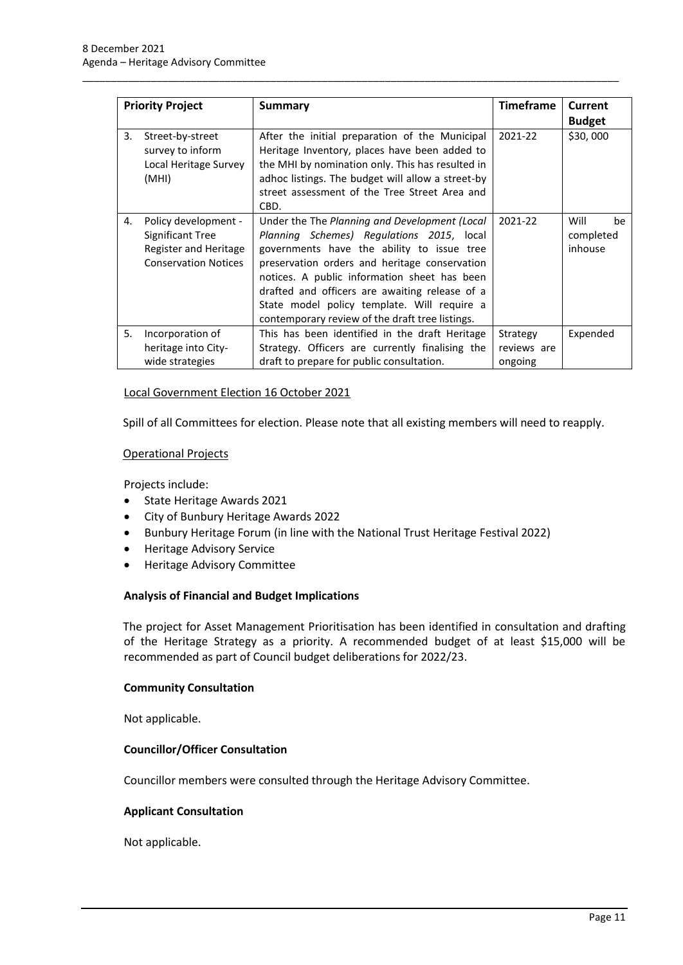| <b>Priority Project</b> |                                                                                                  | <b>Summary</b>                                                                                                                                                                                                                                                                                                                                                                                | <b>Timeframe</b>                   | Current<br><b>Budget</b>           |
|-------------------------|--------------------------------------------------------------------------------------------------|-----------------------------------------------------------------------------------------------------------------------------------------------------------------------------------------------------------------------------------------------------------------------------------------------------------------------------------------------------------------------------------------------|------------------------------------|------------------------------------|
| 3.                      | Street-by-street<br>survey to inform<br>Local Heritage Survey<br>(MHI)                           | After the initial preparation of the Municipal<br>Heritage Inventory, places have been added to<br>the MHI by nomination only. This has resulted in<br>adhoc listings. The budget will allow a street-by<br>street assessment of the Tree Street Area and<br>CBD.                                                                                                                             | 2021-22                            | \$30,000                           |
| 4.                      | Policy development -<br>Significant Tree<br>Register and Heritage<br><b>Conservation Notices</b> | Under the The Planning and Development (Local<br>Planning Schemes) Regulations 2015, local<br>governments have the ability to issue tree<br>preservation orders and heritage conservation<br>notices. A public information sheet has been<br>drafted and officers are awaiting release of a<br>State model policy template. Will require a<br>contemporary review of the draft tree listings. | 2021-22                            | Will<br>be<br>completed<br>inhouse |
| 5.                      | Incorporation of<br>heritage into City-<br>wide strategies                                       | This has been identified in the draft Heritage<br>Strategy. Officers are currently finalising the<br>draft to prepare for public consultation.                                                                                                                                                                                                                                                | Strategy<br>reviews are<br>ongoing | Expended                           |

\_\_\_\_\_\_\_\_\_\_\_\_\_\_\_\_\_\_\_\_\_\_\_\_\_\_\_\_\_\_\_\_\_\_\_\_\_\_\_\_\_\_\_\_\_\_\_\_\_\_\_\_\_\_\_\_\_\_\_\_\_\_\_\_\_\_\_\_\_\_\_\_\_\_\_\_\_\_\_\_\_\_\_\_\_\_\_\_\_\_\_\_\_\_

#### Local Government Election 16 October 2021

Spill of all Committees for election. Please note that all existing members will need to reapply.

#### Operational Projects

Projects include:

- State Heritage Awards 2021
- City of Bunbury Heritage Awards 2022
- Bunbury Heritage Forum (in line with the National Trust Heritage Festival 2022)
- Heritage Advisory Service
- Heritage Advisory Committee

## **Analysis of Financial and Budget Implications**

The project for Asset Management Prioritisation has been identified in consultation and drafting of the Heritage Strategy as a priority. A recommended budget of at least \$15,000 will be recommended as part of Council budget deliberations for 2022/23.

#### **Community Consultation**

Not applicable.

## **Councillor/Officer Consultation**

Councillor members were consulted through the Heritage Advisory Committee.

## **Applicant Consultation**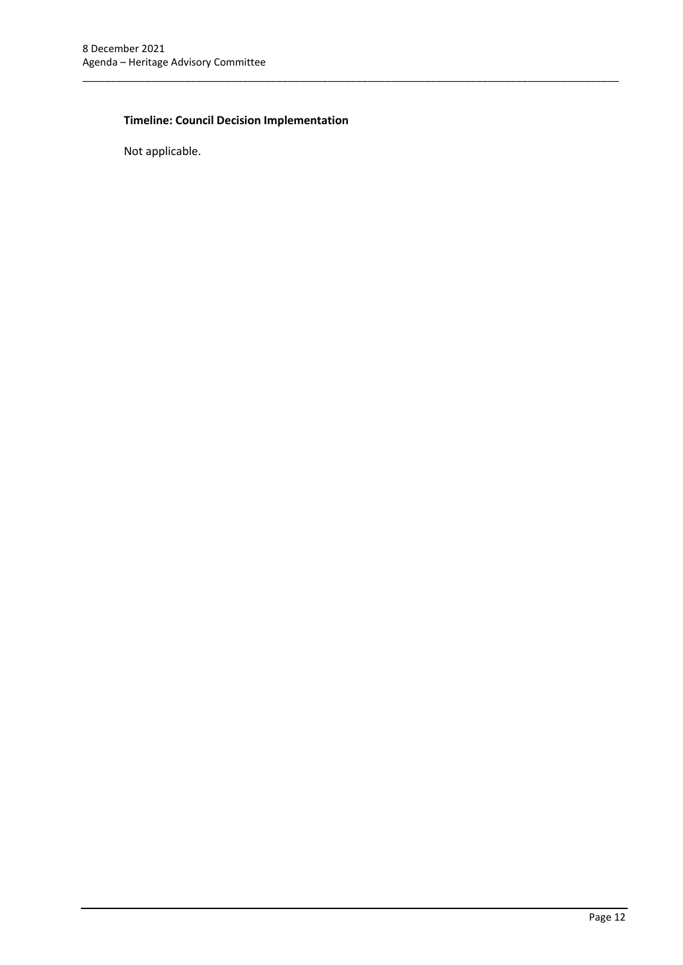# **Timeline: Council Decision Implementation**

\_\_\_\_\_\_\_\_\_\_\_\_\_\_\_\_\_\_\_\_\_\_\_\_\_\_\_\_\_\_\_\_\_\_\_\_\_\_\_\_\_\_\_\_\_\_\_\_\_\_\_\_\_\_\_\_\_\_\_\_\_\_\_\_\_\_\_\_\_\_\_\_\_\_\_\_\_\_\_\_\_\_\_\_\_\_\_\_\_\_\_\_\_\_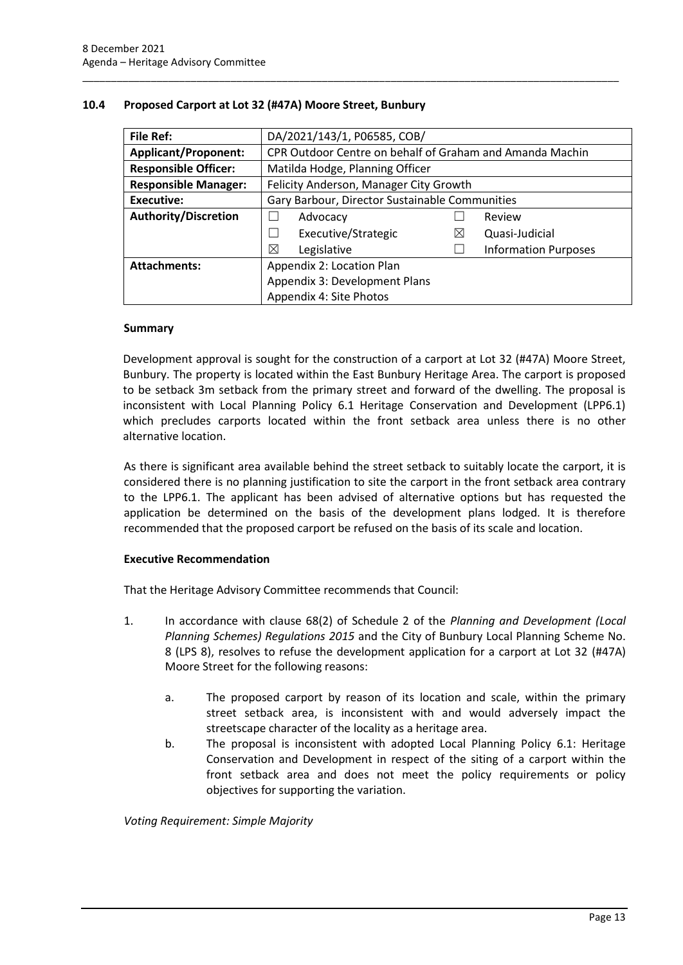| <b>File Ref:</b>            | DA/2021/143/1, P06585, COB/                              |   |                             |
|-----------------------------|----------------------------------------------------------|---|-----------------------------|
| <b>Applicant/Proponent:</b> | CPR Outdoor Centre on behalf of Graham and Amanda Machin |   |                             |
| <b>Responsible Officer:</b> | Matilda Hodge, Planning Officer                          |   |                             |
| <b>Responsible Manager:</b> | Felicity Anderson, Manager City Growth                   |   |                             |
| <b>Executive:</b>           | Gary Barbour, Director Sustainable Communities           |   |                             |
| <b>Authority/Discretion</b> | Advocacy                                                 |   | Review                      |
|                             | Executive/Strategic<br>$\overline{\phantom{a}}$          | ⊠ | Quasi-Judicial              |
|                             | ⊠<br>Legislative                                         |   | <b>Information Purposes</b> |
| <b>Attachments:</b>         | Appendix 2: Location Plan                                |   |                             |
|                             | Appendix 3: Development Plans                            |   |                             |
|                             | Appendix 4: Site Photos                                  |   |                             |

\_\_\_\_\_\_\_\_\_\_\_\_\_\_\_\_\_\_\_\_\_\_\_\_\_\_\_\_\_\_\_\_\_\_\_\_\_\_\_\_\_\_\_\_\_\_\_\_\_\_\_\_\_\_\_\_\_\_\_\_\_\_\_\_\_\_\_\_\_\_\_\_\_\_\_\_\_\_\_\_\_\_\_\_\_\_\_\_\_\_\_\_\_\_

# <span id="page-15-0"></span>**10.4 Proposed Carport at Lot 32 (#47A) Moore Street, Bunbury**

## **Summary**

Development approval is sought for the construction of a carport at Lot 32 (#47A) Moore Street, Bunbury. The property is located within the East Bunbury Heritage Area. The carport is proposed to be setback 3m setback from the primary street and forward of the dwelling. The proposal is inconsistent with Local Planning Policy 6.1 Heritage Conservation and Development (LPP6.1) which precludes carports located within the front setback area unless there is no other alternative location.

As there is significant area available behind the street setback to suitably locate the carport, it is considered there is no planning justification to site the carport in the front setback area contrary to the LPP6.1. The applicant has been advised of alternative options but has requested the application be determined on the basis of the development plans lodged. It is therefore recommended that the proposed carport be refused on the basis of its scale and location.

# **Executive Recommendation**

That the Heritage Advisory Committee recommends that Council:

- 1. In accordance with clause 68(2) of Schedule 2 of the *Planning and Development (Local Planning Schemes) Regulations 2015* and the City of Bunbury Local Planning Scheme No. 8 (LPS 8), resolves to refuse the development application for a carport at Lot 32 (#47A) Moore Street for the following reasons:
	- a. The proposed carport by reason of its location and scale, within the primary street setback area, is inconsistent with and would adversely impact the streetscape character of the locality as a heritage area.
	- b. The proposal is inconsistent with adopted Local Planning Policy 6.1: Heritage Conservation and Development in respect of the siting of a carport within the front setback area and does not meet the policy requirements or policy objectives for supporting the variation.

*Voting Requirement: Simple Majority*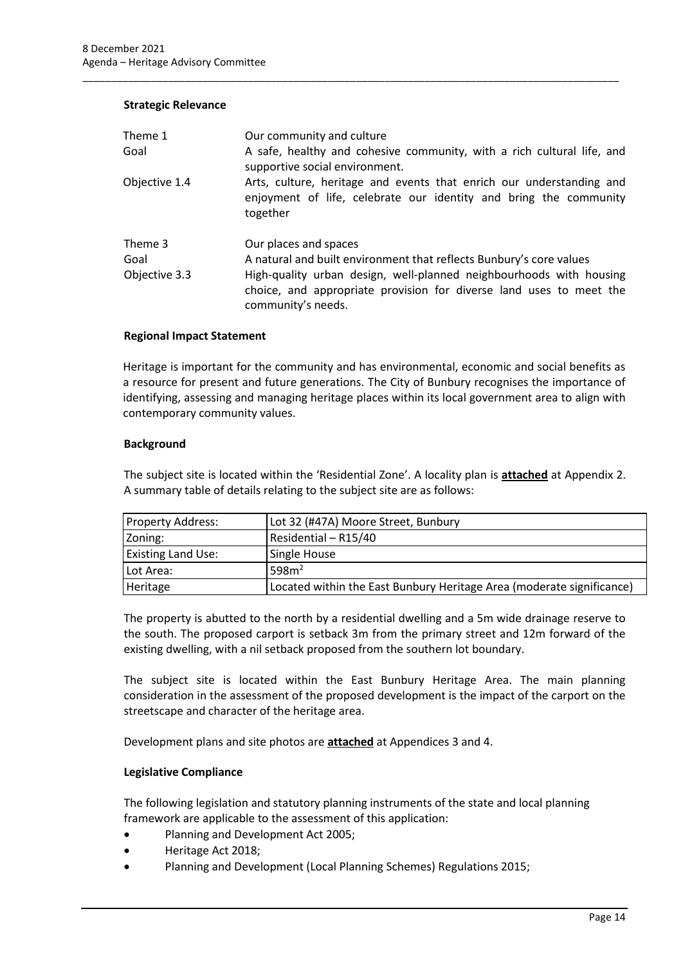#### **Strategic Relevance**

| Theme 1<br>Goal                  | Our community and culture<br>A safe, healthy and cohesive community, with a rich cultural life, and<br>supportive social environment.                                                                                                                            |
|----------------------------------|------------------------------------------------------------------------------------------------------------------------------------------------------------------------------------------------------------------------------------------------------------------|
| Objective 1.4                    | Arts, culture, heritage and events that enrich our understanding and<br>enjoyment of life, celebrate our identity and bring the community<br>together                                                                                                            |
| Theme 3<br>Goal<br>Objective 3.3 | Our places and spaces<br>A natural and built environment that reflects Bunbury's core values<br>High-quality urban design, well-planned neighbourhoods with housing<br>choice, and appropriate provision for diverse land uses to meet the<br>community's needs. |

\_\_\_\_\_\_\_\_\_\_\_\_\_\_\_\_\_\_\_\_\_\_\_\_\_\_\_\_\_\_\_\_\_\_\_\_\_\_\_\_\_\_\_\_\_\_\_\_\_\_\_\_\_\_\_\_\_\_\_\_\_\_\_\_\_\_\_\_\_\_\_\_\_\_\_\_\_\_\_\_\_\_\_\_\_\_\_\_\_\_\_\_\_\_

#### **Regional Impact Statement**

Heritage is important for the community and has environmental, economic and social benefits as a resource for present and future generations. The City of Bunbury recognises the importance of identifying, assessing and managing heritage places within its local government area to align with contemporary community values.

#### **Background**

The subject site is located within the 'Residential Zone'. A locality plan is **attached** at Appendix 2. A summary table of details relating to the subject site are as follows:

| <b>Property Address:</b>  | Lot 32 (#47A) Moore Street, Bunbury                                   |
|---------------------------|-----------------------------------------------------------------------|
| Zoning:                   | Residential - R15/40                                                  |
| <b>Existing Land Use:</b> | Single House                                                          |
| Lot Area:                 | 598m <sup>2</sup>                                                     |
| Heritage                  | Located within the East Bunbury Heritage Area (moderate significance) |

The property is abutted to the north by a residential dwelling and a 5m wide drainage reserve to the south. The proposed carport is setback 3m from the primary street and 12m forward of the existing dwelling, with a nil setback proposed from the southern lot boundary.

The subject site is located within the East Bunbury Heritage Area. The main planning consideration in the assessment of the proposed development is the impact of the carport on the streetscape and character of the heritage area.

Development plans and site photos are **attached** at Appendices 3 and 4.

## **Legislative Compliance**

The following legislation and statutory planning instruments of the state and local planning framework are applicable to the assessment of this application:

- Planning and Development Act 2005;
- Heritage Act 2018;
- Planning and Development (Local Planning Schemes) Regulations 2015;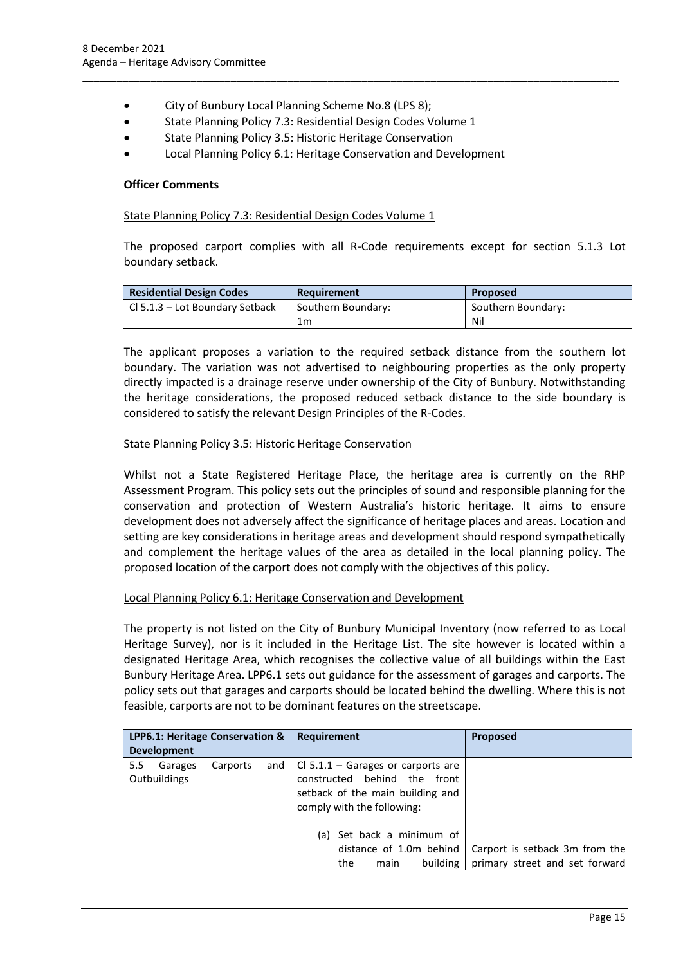- City of Bunbury Local Planning Scheme No.8 (LPS 8);
- State Planning Policy 7.3: Residential Design Codes Volume 1
- State Planning Policy 3.5: Historic Heritage Conservation
- Local Planning Policy 6.1: Heritage Conservation and Development

\_\_\_\_\_\_\_\_\_\_\_\_\_\_\_\_\_\_\_\_\_\_\_\_\_\_\_\_\_\_\_\_\_\_\_\_\_\_\_\_\_\_\_\_\_\_\_\_\_\_\_\_\_\_\_\_\_\_\_\_\_\_\_\_\_\_\_\_\_\_\_\_\_\_\_\_\_\_\_\_\_\_\_\_\_\_\_\_\_\_\_\_\_\_

#### **Officer Comments**

#### State Planning Policy 7.3: Residential Design Codes Volume 1

The proposed carport complies with all R-Code requirements except for section 5.1.3 Lot boundary setback.

| <b>Residential Design Codes</b> | Requirement        | <b>Proposed</b>    |
|---------------------------------|--------------------|--------------------|
| Cl 5.1.3 – Lot Boundary Setback | Southern Boundary: | Southern Boundary: |
|                                 | 1m                 | Nil                |

The applicant proposes a variation to the required setback distance from the southern lot boundary. The variation was not advertised to neighbouring properties as the only property directly impacted is a drainage reserve under ownership of the City of Bunbury. Notwithstanding the heritage considerations, the proposed reduced setback distance to the side boundary is considered to satisfy the relevant Design Principles of the R-Codes.

#### State Planning Policy 3.5: Historic Heritage Conservation

Whilst not a State Registered Heritage Place, the heritage area is currently on the RHP Assessment Program. This policy sets out the principles of sound and responsible planning for the conservation and protection of Western Australia's historic heritage. It aims to ensure development does not adversely affect the significance of heritage places and areas. Location and setting are key considerations in heritage areas and development should respond sympathetically and complement the heritage values of the area as detailed in the local planning policy. The proposed location of the carport does not comply with the objectives of this policy.

## Local Planning Policy 6.1: Heritage Conservation and Development

The property is not listed on the City of Bunbury Municipal Inventory (now referred to as Local Heritage Survey), nor is it included in the Heritage List. The site however is located within a designated Heritage Area, which recognises the collective value of all buildings within the East Bunbury Heritage Area. LPP6.1 sets out guidance for the assessment of garages and carports. The policy sets out that garages and carports should be located behind the dwelling. Where this is not feasible, carports are not to be dominant features on the streetscape.

| LPP6.1: Heritage Conservation &          |          |     | <b>Requirement</b>                                                                                                                           | <b>Proposed</b>                                                  |
|------------------------------------------|----------|-----|----------------------------------------------------------------------------------------------------------------------------------------------|------------------------------------------------------------------|
| <b>Development</b>                       |          |     |                                                                                                                                              |                                                                  |
| $5.5^{\circ}$<br>Garages<br>Outbuildings | Carports | and | $\vert$ Cl 5.1.1 – Garages or carports are<br>constructed behind the front<br>setback of the main building and<br>comply with the following: |                                                                  |
|                                          |          |     | (a) Set back a minimum of<br>distance of 1.0m behind<br>building<br>the<br>main                                                              | Carport is setback 3m from the<br>primary street and set forward |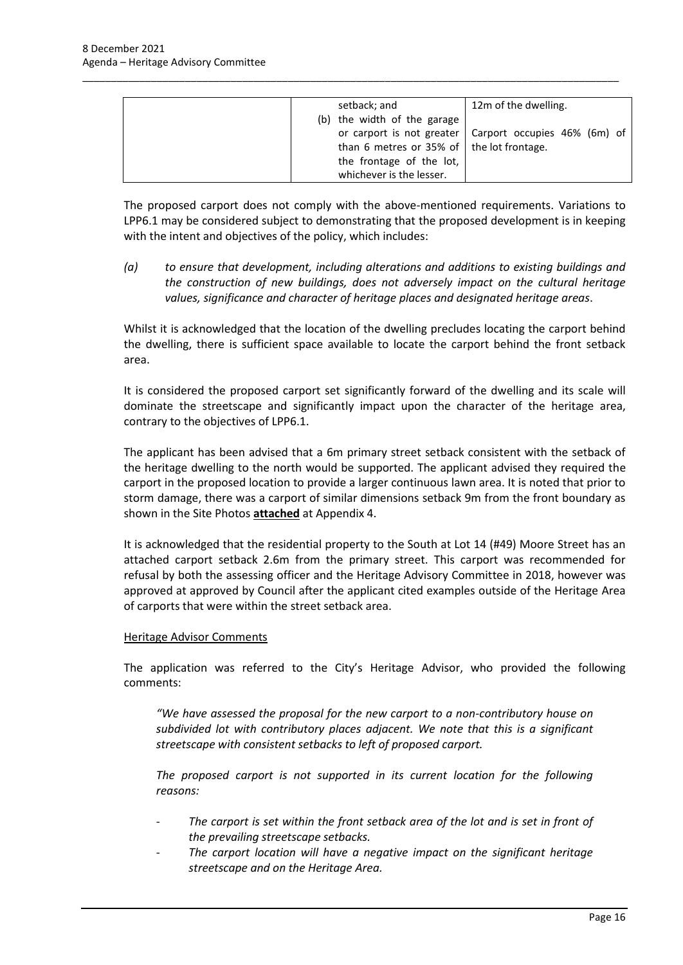| setback; and                                      | 12m of the dwelling.                                     |
|---------------------------------------------------|----------------------------------------------------------|
| (b) the width of the garage                       |                                                          |
|                                                   | or carport is not greater   Carport occupies 46% (6m) of |
| than 6 metres or 35% of $\vert$ the lot frontage. |                                                          |
| the frontage of the lot,                          |                                                          |
| whichever is the lesser.                          |                                                          |

\_\_\_\_\_\_\_\_\_\_\_\_\_\_\_\_\_\_\_\_\_\_\_\_\_\_\_\_\_\_\_\_\_\_\_\_\_\_\_\_\_\_\_\_\_\_\_\_\_\_\_\_\_\_\_\_\_\_\_\_\_\_\_\_\_\_\_\_\_\_\_\_\_\_\_\_\_\_\_\_\_\_\_\_\_\_\_\_\_\_\_\_\_\_

The proposed carport does not comply with the above-mentioned requirements. Variations to LPP6.1 may be considered subject to demonstrating that the proposed development is in keeping with the intent and objectives of the policy, which includes:

*(a) to ensure that development, including alterations and additions to existing buildings and the construction of new buildings, does not adversely impact on the cultural heritage values, significance and character of heritage places and designated heritage areas*.

Whilst it is acknowledged that the location of the dwelling precludes locating the carport behind the dwelling, there is sufficient space available to locate the carport behind the front setback area.

It is considered the proposed carport set significantly forward of the dwelling and its scale will dominate the streetscape and significantly impact upon the character of the heritage area, contrary to the objectives of LPP6.1.

The applicant has been advised that a 6m primary street setback consistent with the setback of the heritage dwelling to the north would be supported. The applicant advised they required the carport in the proposed location to provide a larger continuous lawn area. It is noted that prior to storm damage, there was a carport of similar dimensions setback 9m from the front boundary as shown in the Site Photos **attached** at Appendix 4.

It is acknowledged that the residential property to the South at Lot 14 (#49) Moore Street has an attached carport setback 2.6m from the primary street. This carport was recommended for refusal by both the assessing officer and the Heritage Advisory Committee in 2018, however was approved at approved by Council after the applicant cited examples outside of the Heritage Area of carports that were within the street setback area.

# Heritage Advisor Comments

The application was referred to the City's Heritage Advisor, who provided the following comments:

*"We have assessed the proposal for the new carport to a non-contributory house on subdivided lot with contributory places adjacent. We note that this is a significant streetscape with consistent setbacks to left of proposed carport.*

*The proposed carport is not supported in its current location for the following reasons:*

- The carport is set within the front setback area of the lot and is set in front of *the prevailing streetscape setbacks.*
- The carport location will have a negative impact on the significant heritage *streetscape and on the Heritage Area.*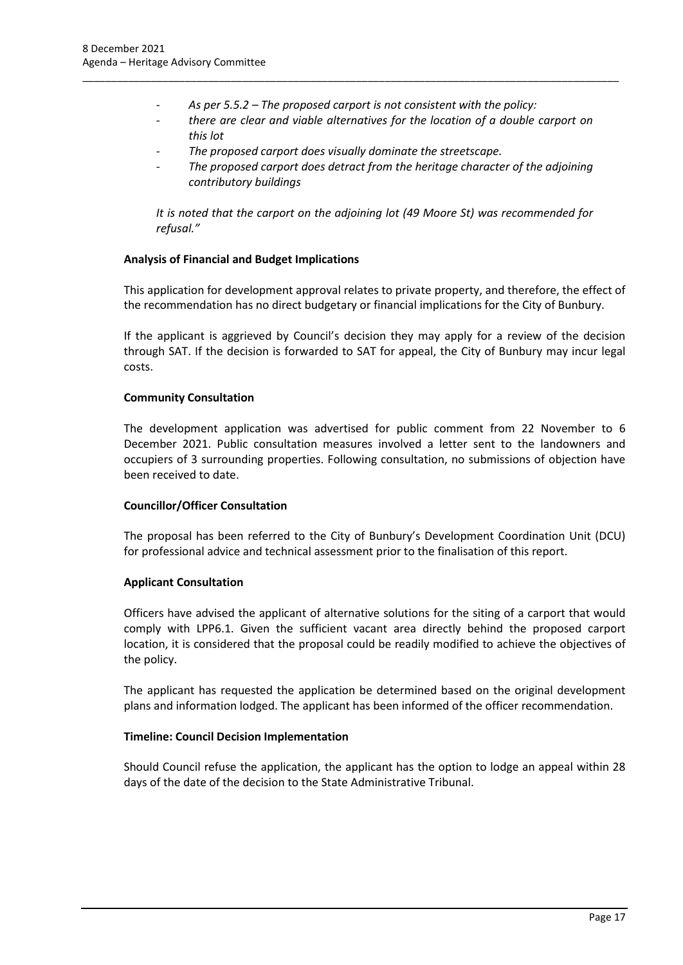- *As per 5.5.2 – The proposed carport is not consistent with the policy:*

\_\_\_\_\_\_\_\_\_\_\_\_\_\_\_\_\_\_\_\_\_\_\_\_\_\_\_\_\_\_\_\_\_\_\_\_\_\_\_\_\_\_\_\_\_\_\_\_\_\_\_\_\_\_\_\_\_\_\_\_\_\_\_\_\_\_\_\_\_\_\_\_\_\_\_\_\_\_\_\_\_\_\_\_\_\_\_\_\_\_\_\_\_\_

- *there are clear and viable alternatives for the location of a double carport on this lot*
- *The proposed carport does visually dominate the streetscape.*
- *The proposed carport does detract from the heritage character of the adjoining contributory buildings*

*It is noted that the carport on the adjoining lot (49 Moore St) was recommended for refusal."*

# **Analysis of Financial and Budget Implications**

This application for development approval relates to private property, and therefore, the effect of the recommendation has no direct budgetary or financial implications for the City of Bunbury.

If the applicant is aggrieved by Council's decision they may apply for a review of the decision through SAT. If the decision is forwarded to SAT for appeal, the City of Bunbury may incur legal costs.

## **Community Consultation**

The development application was advertised for public comment from 22 November to 6 December 2021. Public consultation measures involved a letter sent to the landowners and occupiers of 3 surrounding properties. Following consultation, no submissions of objection have been received to date.

## **Councillor/Officer Consultation**

The proposal has been referred to the City of Bunbury's Development Coordination Unit (DCU) for professional advice and technical assessment prior to the finalisation of this report.

## **Applicant Consultation**

Officers have advised the applicant of alternative solutions for the siting of a carport that would comply with LPP6.1. Given the sufficient vacant area directly behind the proposed carport location, it is considered that the proposal could be readily modified to achieve the objectives of the policy.

The applicant has requested the application be determined based on the original development plans and information lodged. The applicant has been informed of the officer recommendation.

## **Timeline: Council Decision Implementation**

Should Council refuse the application, the applicant has the option to lodge an appeal within 28 days of the date of the decision to the State Administrative Tribunal.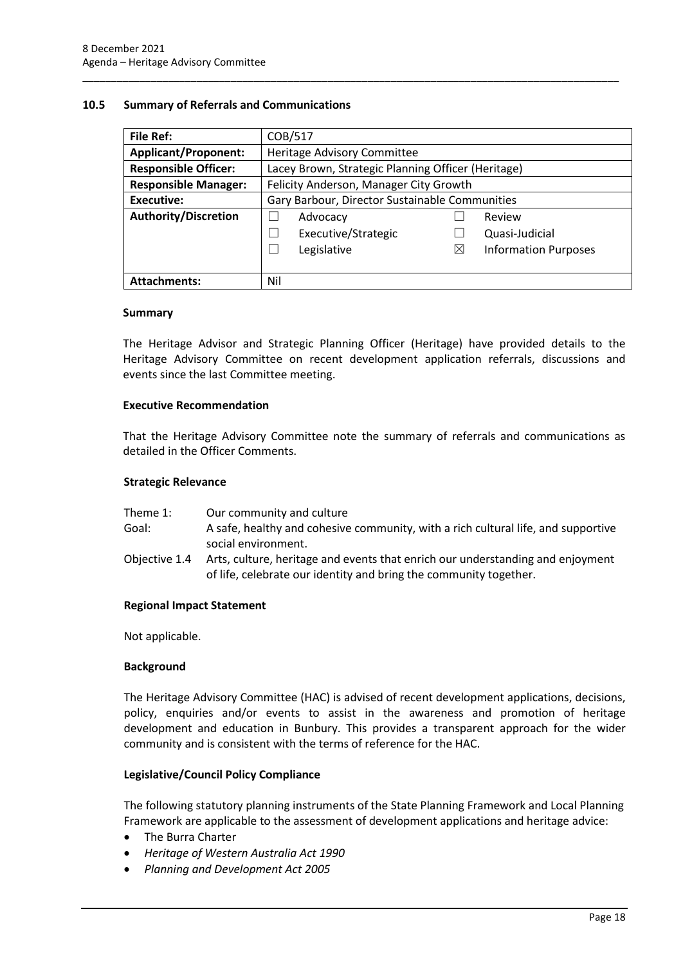## <span id="page-20-0"></span>**10.5 Summary of Referrals and Communications**

| File Ref:                   | COB/517                                            |             |                             |
|-----------------------------|----------------------------------------------------|-------------|-----------------------------|
| <b>Applicant/Proponent:</b> | Heritage Advisory Committee                        |             |                             |
| <b>Responsible Officer:</b> | Lacey Brown, Strategic Planning Officer (Heritage) |             |                             |
| <b>Responsible Manager:</b> | Felicity Anderson, Manager City Growth             |             |                             |
| <b>Executive:</b>           | Gary Barbour, Director Sustainable Communities     |             |                             |
| <b>Authority/Discretion</b> | Advocacy                                           |             | Review                      |
|                             | Executive/Strategic                                |             | Quasi-Judicial              |
|                             | Legislative                                        | $\boxtimes$ | <b>Information Purposes</b> |
|                             |                                                    |             |                             |
| <b>Attachments:</b>         | Nil                                                |             |                             |

\_\_\_\_\_\_\_\_\_\_\_\_\_\_\_\_\_\_\_\_\_\_\_\_\_\_\_\_\_\_\_\_\_\_\_\_\_\_\_\_\_\_\_\_\_\_\_\_\_\_\_\_\_\_\_\_\_\_\_\_\_\_\_\_\_\_\_\_\_\_\_\_\_\_\_\_\_\_\_\_\_\_\_\_\_\_\_\_\_\_\_\_\_\_

## **Summary**

The Heritage Advisor and Strategic Planning Officer (Heritage) have provided details to the Heritage Advisory Committee on recent development application referrals, discussions and events since the last Committee meeting.

## **Executive Recommendation**

That the Heritage Advisory Committee note the summary of referrals and communications as detailed in the Officer Comments.

#### **Strategic Relevance**

| Theme 1:      | Our community and culture                                                                                                                           |
|---------------|-----------------------------------------------------------------------------------------------------------------------------------------------------|
| Goal:         | A safe, healthy and cohesive community, with a rich cultural life, and supportive                                                                   |
|               | social environment.                                                                                                                                 |
| Objective 1.4 | Arts, culture, heritage and events that enrich our understanding and enjoyment<br>of life, celebrate our identity and bring the community together. |

## **Regional Impact Statement**

Not applicable.

## **Background**

The Heritage Advisory Committee (HAC) is advised of recent development applications, decisions, policy, enquiries and/or events to assist in the awareness and promotion of heritage development and education in Bunbury. This provides a transparent approach for the wider community and is consistent with the terms of reference for the HAC.

## **Legislative/Council Policy Compliance**

The following statutory planning instruments of the State Planning Framework and Local Planning Framework are applicable to the assessment of development applications and heritage advice:

- The Burra Charter
- *Heritage of Western Australia Act 1990*
- *Planning and Development Act 2005*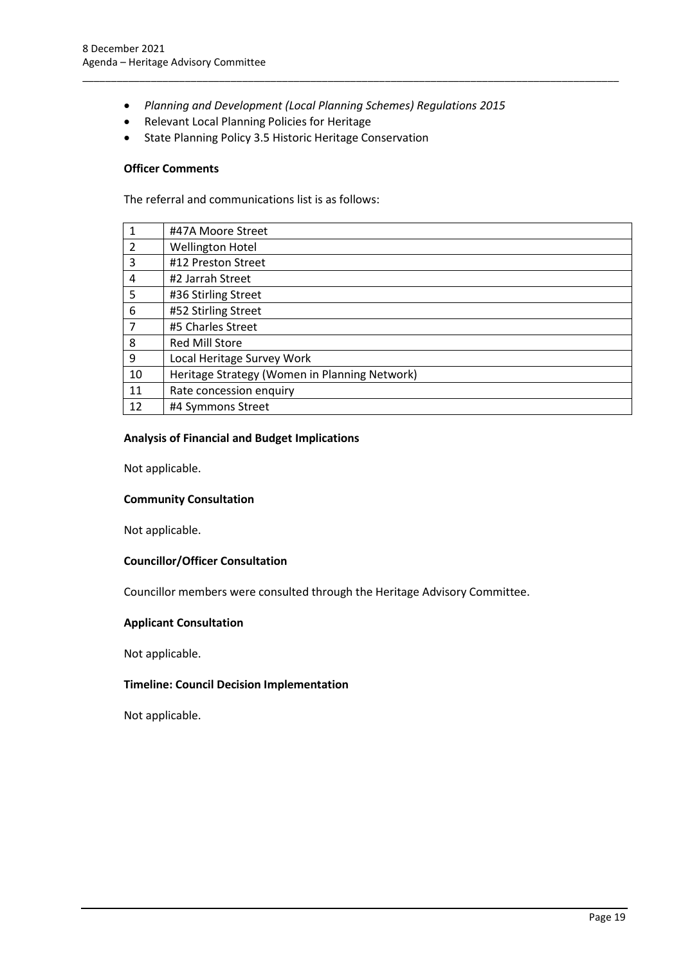• *Planning and Development (Local Planning Schemes) Regulations 2015*

\_\_\_\_\_\_\_\_\_\_\_\_\_\_\_\_\_\_\_\_\_\_\_\_\_\_\_\_\_\_\_\_\_\_\_\_\_\_\_\_\_\_\_\_\_\_\_\_\_\_\_\_\_\_\_\_\_\_\_\_\_\_\_\_\_\_\_\_\_\_\_\_\_\_\_\_\_\_\_\_\_\_\_\_\_\_\_\_\_\_\_\_\_\_

- Relevant Local Planning Policies for Heritage
- State Planning Policy 3.5 Historic Heritage Conservation

#### **Officer Comments**

The referral and communications list is as follows:

|                | #47A Moore Street                             |
|----------------|-----------------------------------------------|
| $\overline{2}$ | <b>Wellington Hotel</b>                       |
| 3              | #12 Preston Street                            |
| 4              | #2 Jarrah Street                              |
| 5              | #36 Stirling Street                           |
| 6              | #52 Stirling Street                           |
| $\overline{7}$ | #5 Charles Street                             |
| 8              | <b>Red Mill Store</b>                         |
| 9              | Local Heritage Survey Work                    |
| 10             | Heritage Strategy (Women in Planning Network) |
| 11             | Rate concession enquiry                       |
| 12             | #4 Symmons Street                             |
|                |                                               |

## **Analysis of Financial and Budget Implications**

Not applicable.

#### **Community Consultation**

Not applicable.

## **Councillor/Officer Consultation**

Councillor members were consulted through the Heritage Advisory Committee.

#### **Applicant Consultation**

Not applicable.

## **Timeline: Council Decision Implementation**